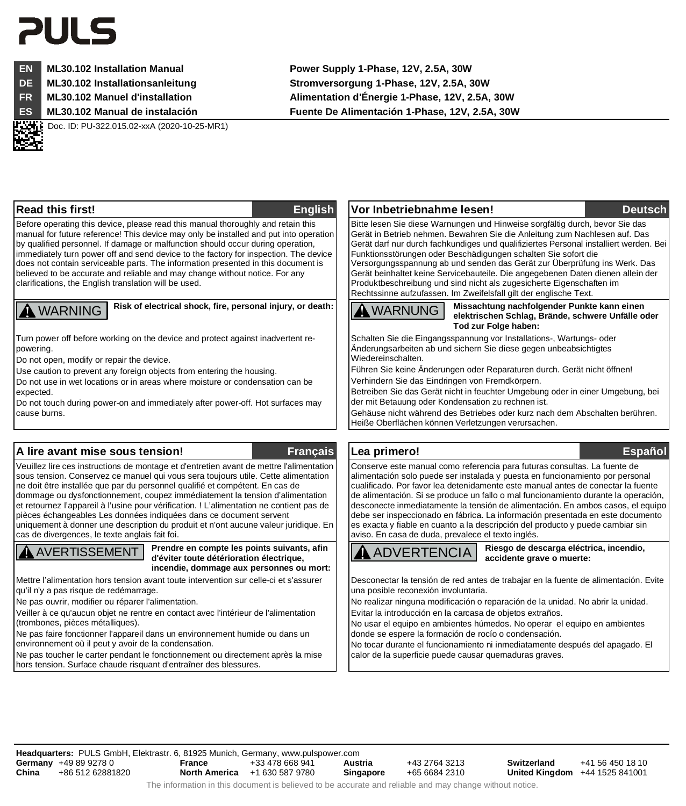# 21 II 5



**EN ML30.102 Installation Manual Power Supply 1-Phase, 12V, 2.5A, 30W**

**DE ML30.102 Installationsanleitung Stromversorgung 1-Phase, 12V, 2.5A, 30W**

**FR ML30.102 Manuel d'installation Alimentation d'Énergie 1-Phase, 12V, 2.5A, 30W**

**ES ML30.102 Manual de instalación Fuente De Alimentación 1-Phase, 12V, 2.5A, 30W**

Doc. ID: PU-322.015.02-xxA (2020-10-25-MR1)

Before operating this device, please read this manual thoroughly and retain this manual for future reference! This device may only be installed and put into operation by qualified personnel. If damage or malfunction should occur during operation, immediately turn power off and send device to the factory for inspection. The device does not contain serviceable parts. The information presented in this document is believed to be accurate and reliable and may change without notice. For any clarifications, the English translation will be used.

Turn power off before working on the device and protect against inadvertent repowering.

Do not open, modify or repair the device.

Use caution to prevent any foreign objects from entering the housing.

Do not use in wet locations or in areas where moisture or condensation can be expected.

Do not touch during power-on and immediately after power-off. Hot surfaces may cause burns.

# **A lire avant mise sous tension! Français Lea primero! Español**

Veuillez lire ces instructions de montage et d'entretien avant de mettre l'alimentation sous tension. Conservez ce manuel qui vous sera toujours utile. Cette alimentation ne doit être installée que par du personnel qualifié et compétent. En cas de dommage ou dysfonctionnement, coupez immédiatement la tension d'alimentation et retournez l'appareil à l'usine pour vérification. ! L'alimentation ne contient pas de pièces échangeables Les données indiquées dans ce document servent uniquement à donner une description du produit et n'ont aucune valeur juridique. En cas de divergences, le texte anglais fait foi.

AVERTISSEMENT **Prendre en compte les points suivants, afin d'éviter toute détérioration électrique, incendie, dommage aux personnes ou mort:**

Mettre l'alimentation hors tension avant toute intervention sur celle-ci et s'assurer qu'il n'y a pas risque de redémarrage.

Ne pas ouvrir, modifier ou réparer l'alimentation.

Veiller à ce qu'aucun objet ne rentre en contact avec l'intérieur de l'alimentation (trombones, pièces métalliques).

Ne pas faire fonctionner l'appareil dans un environnement humide ou dans un environnement où il peut y avoir de la condensation.

Ne pas toucher le carter pendant le fonctionnement ou directement après la mise hors tension. Surface chaude risquant d'entraîner des blessures.

### **Read this first! English Vor Inbetriebnahme lesen! Deutsch**

 Bitte lesen Sie diese Warnungen und Hinweise sorgfältig durch, bevor Sie das Gerät in Betrieb nehmen. Bewahren Sie die Anleitung zum Nachlesen auf. Das Gerät darf nur durch fachkundiges und qualifiziertes Personal installiert werden. Bei Funktionsstörungen oder Beschädigungen schalten Sie sofort die Versorgungsspannung ab und senden das Gerät zur Überprüfung ins Werk. Das Gerät beinhaltet keine Servicebauteile. Die angegebenen Daten dienen allein der Produktbeschreibung und sind nicht als zugesicherte Eigenschaften im Rechtssinne aufzufassen. Im Zweifelsfall gilt der englische Text.

WARNING **Risk of electrical shock, fire, personal injury, or death:** WARNUNG **Missachtung nachfolgender Punkte kann einen elektrischen Schlag, Brände, schwere Unfälle oder Tod zur Folge haben:**

 Schalten Sie die Eingangsspannung vor Installations-, Wartungs- oder Änderungsarbeiten ab und sichern Sie diese gegen unbeabsichtigtes Wiedereinschalten.

Führen Sie keine Änderungen oder Reparaturen durch. Gerät nicht öffnen! Verhindern Sie das Eindringen von Fremdkörpern.

Betreiben Sie das Gerät nicht in feuchter Umgebung oder in einer Umgebung, bei der mit Betauung oder Kondensation zu rechnen ist.

Gehäuse nicht während des Betriebes oder kurz nach dem Abschalten berühren. Heiße Oberflächen können Verletzungen verursachen.

 Conserve este manual como referencia para futuras consultas. La fuente de alimentación solo puede ser instalada y puesta en funcionamiento por personal cualificado. Por favor lea detenidamente este manual antes de conectar la fuente de alimentación. Si se produce un fallo o mal funcionamiento durante la operación, desconecte inmediatamente la tensión de alimentación. En ambos casos, el equipo debe ser inspeccionado en fábrica. La información presentada en este documento es exacta y fiable en cuanto a la descripción del producto y puede cambiar sin aviso. En casa de duda, prevalece el texto inglés.

ADVERTENCIA **Riesgo de descarga eléctrica, incendio, accidente grave o muerte:**

 Desconectar la tensión de red antes de trabajar en la fuente de alimentación. Evite una posible reconexión involuntaria.

No realizar ninguna modificación o reparación de la unidad. No abrir la unidad. Evitar la introducción en la carcasa de objetos extraños.

No usar el equipo en ambientes húmedos. No operar el equipo en ambientes donde se espere la formación de rocío o condensación.

No tocar durante el funcionamiento ni inmediatamente después del apagado. El calor de la superficie puede causar quemaduras graves.

**Headquarters:** PULS GmbH, Elektrastr. 6, 81925 Munich, Germany, www.pulspower.com **Germany** +49 89 9278 0 **China** +86 512 62881820 **France** +33 478 668 941 **North America** +1 630 587 9780 **Austria** +43 2764 3213 **Singapore** +65 6684 2310 **Switzerland** +41 56 450 18 10 **United Kingdom** +44 1525 841001

The information in this document is believed to be accurate and reliable and may change without notice.